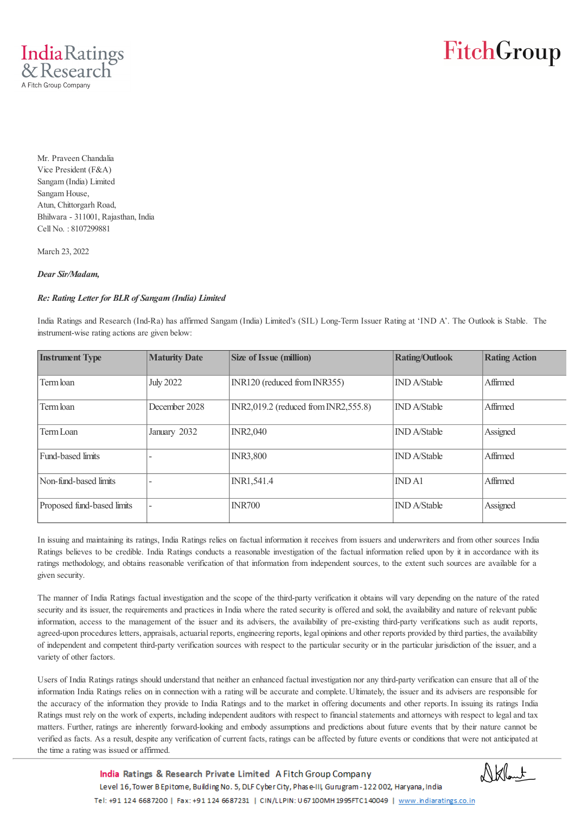

## FitchGroup

Mr. Praveen Chandalia Vice President (F&A) Sangam (India) Limited Sangam House, Atun, Chittorgarh Road, Bhilwara - 311001, Rajasthan, India Cell No. : 8107299881

March 23, 2022

#### *Dear Sir/Madam,*

### *Re: Rating Letter for BLR of Sangam (India) Limited*

India Ratings and Research (Ind-Ra) has affirmed Sangam (India) Limited's (SIL) Long-Term Issuer Rating at 'IND A'. The Outlook is Stable. The instrument-wise rating actions are given below:

| <b>Instrument Type</b>     | <b>Maturity Date</b> | <b>Size of Issue (million)</b>         | <b>Rating/Outlook</b> | <b>Rating Action</b> |
|----------------------------|----------------------|----------------------------------------|-----------------------|----------------------|
| Term loan                  | <b>July 2022</b>     | INR120 (reduced from INR355)           | <b>IND</b> A/Stable   | Affirmed             |
| Term loan                  | December 2028        | $INR2,019.2$ (reduced from INR2,555.8) | <b>IND</b> A/Stable   | Affirmed             |
| Term Loan                  | January 2032         | <b>INR2.040</b>                        | <b>IND</b> A/Stable   | Assigned             |
| Fund-based limits          |                      | <b>INR3,800</b>                        | <b>IND</b> A/Stable   | Affirmed             |
| Non-fund-based limits      |                      | INR1,541.4                             | <b>INDA1</b>          | Affirmed             |
| Proposed fund-based limits |                      | <b>INR700</b>                          | <b>IND</b> A/Stable   | Assigned             |

In issuing and maintaining its ratings, India Ratings relies on factual information it receives from issuers and underwriters and from other sources India Ratings believes to be credible. India Ratings conducts a reasonable investigation of the factual information relied upon by it in accordance with its ratings methodology, and obtains reasonable verification of that information from independent sources, to the extent such sources are available for a given security.

The manner of India Ratings factual investigation and the scope of the third-party verification it obtains will vary depending on the nature of the rated security and its issuer, the requirements and practices in India where the rated security is offered and sold, the availability and nature of relevant public information, access to the management of the issuer and its advisers, the availability of pre-existing third-party verifications such as audit reports, agreed-upon procedures letters, appraisals, actuarial reports, engineering reports, legal opinions and other reports provided by third parties, the availability of independent and competent third-party verification sources with respect to the particular security or in the particular jurisdiction of the issuer, and a variety of other factors.

Users of India Ratings ratings should understand that neither an enhanced factual investigation nor any third-party verification can ensure that all of the information India Ratings relies on in connection with a rating will be accurate and complete. Ultimately, the issuer and its advisers are responsible for the accuracy of the information they provide to India Ratings and to the market in offering documents and other reports. In issuing its ratings India Ratings must rely on the work of experts, including independent auditors with respect to financial statements and attorneys with respect to legal and tax matters. Further, ratings are inherently forward-looking and embody assumptions and predictions about future events that by their nature cannot be verified as facts. As a result, despite any verification of current facts, ratings can be affected by future events or conditions that were not anticipated at the time a rating was issued or affirmed.

> India Ratings & Research Private Limited A Fitch Group Company Level 16, Tower B Epitome, Building No. 5, DLF Cyber City, Phase-III, Gurugram - 122 002, Haryana, India Tel: +91 124 6687200 | Fax: +91 124 6687231 | CIN/LLPIN: U 67 100MH 1995FTC140049 | www.indiaratings.co.in

Nklant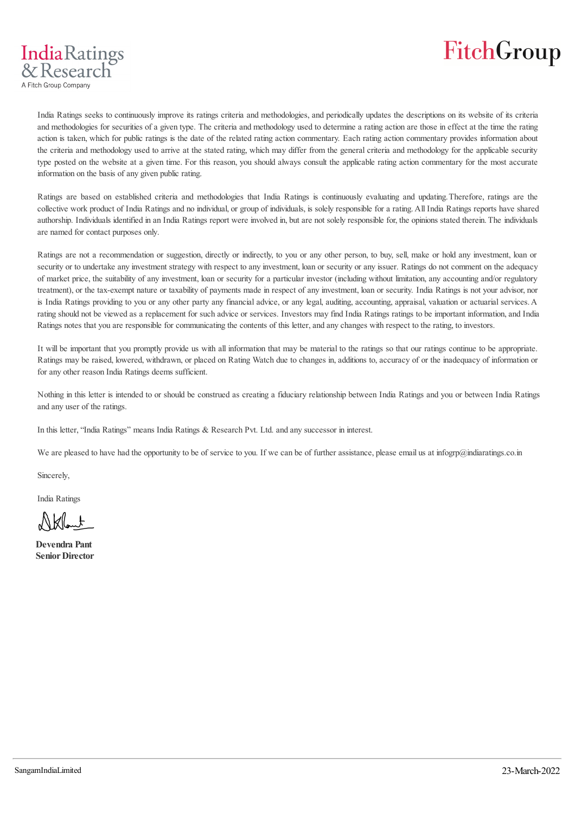

India Ratings seeks to continuously improve its ratings criteria and methodologies, and periodically updates the descriptions on its website of its criteria and methodologies for securities of a given type. The criteria and methodology used to determine a rating action are those in effect at the time the rating action is taken, which for public ratings is the date of the related rating action commentary. Each rating action commentary provides information about the criteria and methodology used to arrive at the stated rating, which may differ from the general criteria and methodology for the applicable security type posted on the website at a given time. For this reason, you should always consult the applicable rating action commentary for the most accurate information on the basis of any given public rating.

Ratings are based on established criteria and methodologies that India Ratings is continuously evaluating and updating. Therefore, ratings are the collective work product of India Ratings and no individual, or group of individuals, is solely responsible for a rating. All India Ratings reports have shared authorship. Individuals identified in an India Ratings report were involved in, but are not solely responsible for, the opinions stated therein. The individuals are named for contact purposes only.

Ratings are not a recommendation or suggestion, directly or indirectly, to you or any other person, to buy, sell, make or hold any investment, loan or security or to undertake any investment strategy with respect to any investment, loan or security or any issuer. Ratings do not comment on the adequacy of market price, the suitability of any investment, loan or security for a particular investor (including without limitation, any accounting and/or regulatory treatment), or the tax-exempt nature or taxability of payments made in respect of any investment, loan or security. India Ratings is not your advisor, nor is India Ratings providing to you or any other party any financial advice, or any legal, auditing, accounting, appraisal, valuation or actuarial services. A rating should not be viewed as a replacement for such advice or services. Investors may find India Ratings ratings to be important information, and India Ratings notes that you are responsible for communicating the contents of this letter, and any changes with respect to the rating, to investors.

It will be important that you promptly provide us with all information that may be material to the ratings so that our ratings continue to be appropriate. Ratings may be raised, lowered, withdrawn, or placed on Rating Watch due to changes in, additions to, accuracy of or the inadequacy of information or for any other reason India Ratings deems sufficient.

Nothing in this letter is intended to or should be construed as creating a fiduciary relationship between India Ratings and you or between India Ratings and any user of the ratings.

In this letter, "India Ratings" means India Ratings & Research Pvt. Ltd. and any successor in interest.

We are pleased to have had the opportunity to be of service to you. If we can be of further assistance, please email us at infogrp@indiaratings.co.in

Sincerely,

India Ratings

**IndiaRatings**  $8$  Research A Fitch Group Company

Nkllent

**Devendra Pant Senior Director**